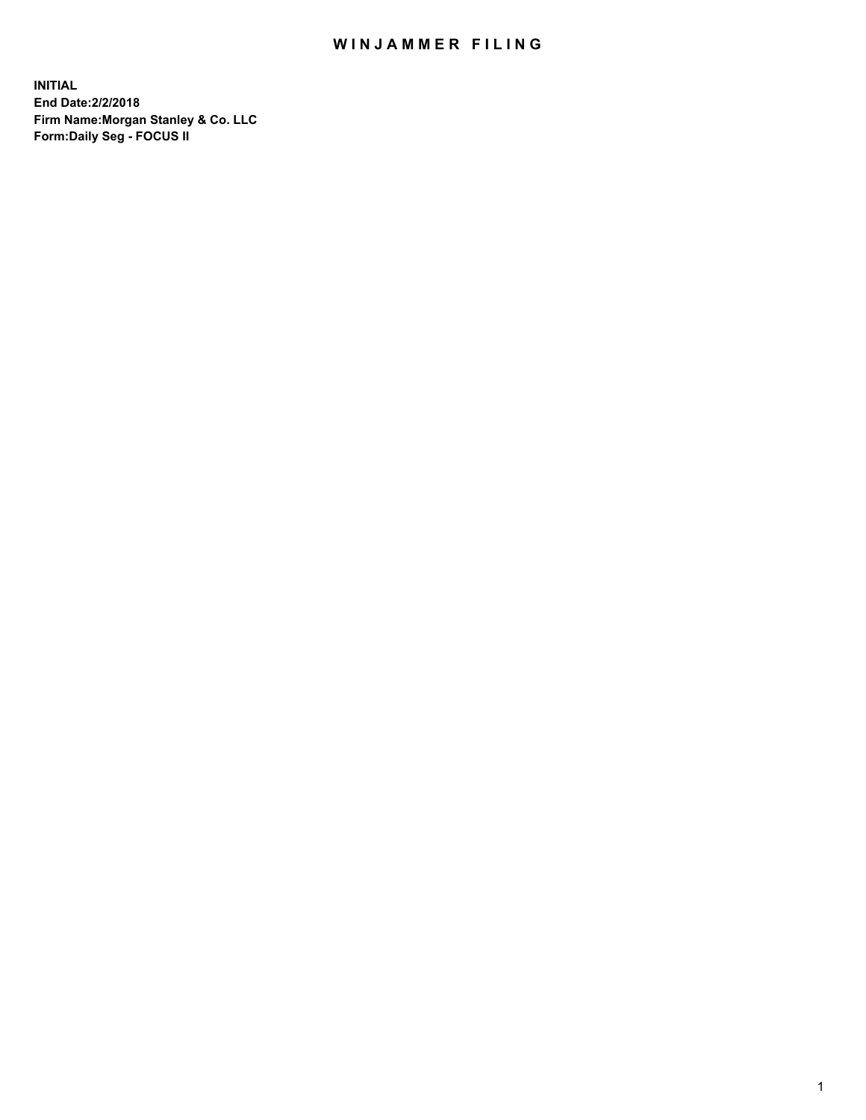## WIN JAMMER FILING

**INITIAL End Date:2/2/2018 Firm Name:Morgan Stanley & Co. LLC Form:Daily Seg - FOCUS II**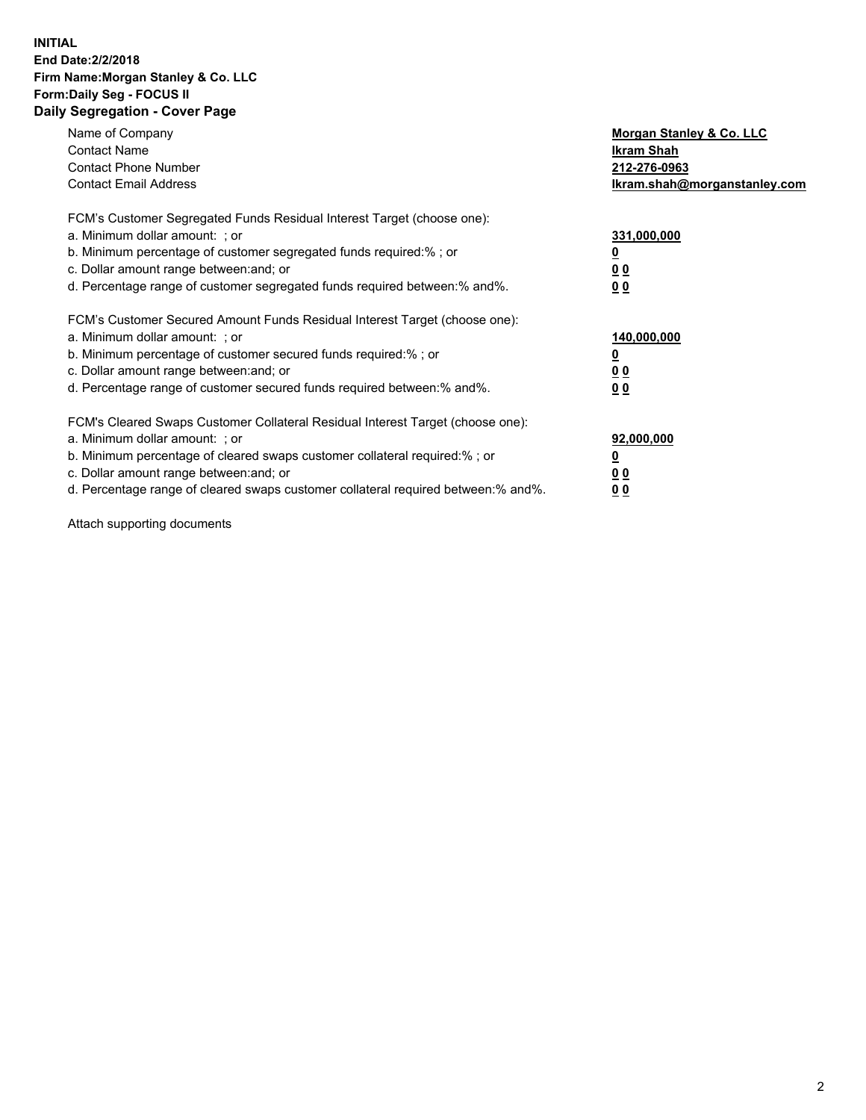#### **INITIAL End Date:2/2/2018 Firm Name:Morgan Stanley & Co. LLC Form:Daily Seg - FOCUS II Daily Segregation - Cover Page**

| Name of Company                                                                   | Morgan Stanley & Co. LLC     |
|-----------------------------------------------------------------------------------|------------------------------|
| <b>Contact Name</b>                                                               | Ikram Shah                   |
| <b>Contact Phone Number</b>                                                       | 212-276-0963                 |
| <b>Contact Email Address</b>                                                      | Ikram.shah@morganstanley.com |
| FCM's Customer Segregated Funds Residual Interest Target (choose one):            |                              |
| a. Minimum dollar amount: : or                                                    | 331,000,000                  |
| b. Minimum percentage of customer segregated funds required:%; or                 |                              |
| c. Dollar amount range between: and; or                                           | <u>00</u>                    |
| d. Percentage range of customer segregated funds required between: % and %.       | 00                           |
| FCM's Customer Secured Amount Funds Residual Interest Target (choose one):        |                              |
| a. Minimum dollar amount: ; or                                                    | 140,000,000                  |
| b. Minimum percentage of customer secured funds required:%; or                    |                              |
| c. Dollar amount range between: and; or                                           | 00                           |
| d. Percentage range of customer secured funds required between: % and %.          | <u>00</u>                    |
| FCM's Cleared Swaps Customer Collateral Residual Interest Target (choose one):    |                              |
| a. Minimum dollar amount: ; or                                                    | 92,000,000                   |
| b. Minimum percentage of cleared swaps customer collateral required:% ; or        | <u>0</u>                     |
| c. Dollar amount range between: and; or                                           | <u>00</u>                    |
| d. Percentage range of cleared swaps customer collateral required between:% and%. | 00                           |

Attach supporting documents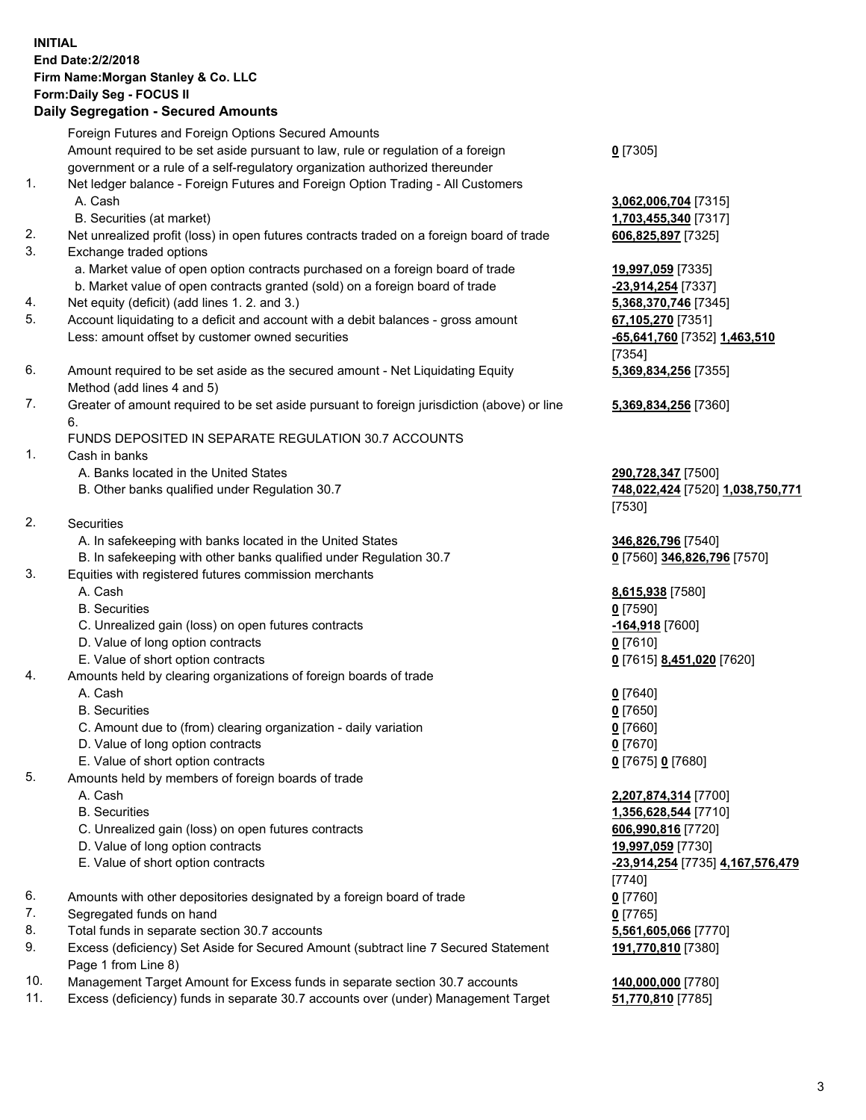# **INITIAL End Date:2/2/2018 Firm Name:Morgan Stanley & Co. LLC Form:Daily Seg - FOCUS II**

### **Daily Segregation - Secured Amounts**

|     | Foreign Futures and Foreign Options Secured Amounts                                         |                                  |
|-----|---------------------------------------------------------------------------------------------|----------------------------------|
|     | Amount required to be set aside pursuant to law, rule or regulation of a foreign            | $0$ [7305]                       |
|     | government or a rule of a self-regulatory organization authorized thereunder                |                                  |
| 1.  | Net ledger balance - Foreign Futures and Foreign Option Trading - All Customers             |                                  |
|     | A. Cash                                                                                     | 3,062,006,704 [7315]             |
|     | B. Securities (at market)                                                                   | 1,703,455,340 [7317]             |
| 2.  | Net unrealized profit (loss) in open futures contracts traded on a foreign board of trade   | 606,825,897 [7325]               |
| 3.  | Exchange traded options                                                                     |                                  |
|     | a. Market value of open option contracts purchased on a foreign board of trade              | 19,997,059 [7335]                |
|     | b. Market value of open contracts granted (sold) on a foreign board of trade                | -23,914,254 [7337]               |
| 4.  | Net equity (deficit) (add lines 1.2. and 3.)                                                | 5,368,370,746 [7345]             |
| 5.  | Account liquidating to a deficit and account with a debit balances - gross amount           | 67,105,270 [7351]                |
|     | Less: amount offset by customer owned securities                                            | -65,641,760 [7352] 1,463,510     |
|     |                                                                                             | [7354]                           |
| 6.  | Amount required to be set aside as the secured amount - Net Liquidating Equity              | 5,369,834,256 [7355]             |
|     | Method (add lines 4 and 5)                                                                  |                                  |
| 7.  | Greater of amount required to be set aside pursuant to foreign jurisdiction (above) or line | 5,369,834,256 [7360]             |
|     | 6.                                                                                          |                                  |
|     | FUNDS DEPOSITED IN SEPARATE REGULATION 30.7 ACCOUNTS                                        |                                  |
| 1.  | Cash in banks                                                                               |                                  |
|     | A. Banks located in the United States                                                       | 290,728,347 [7500]               |
|     | B. Other banks qualified under Regulation 30.7                                              | 748,022,424 [7520] 1,038,750,771 |
|     |                                                                                             | [7530]                           |
| 2.  | Securities                                                                                  |                                  |
|     | A. In safekeeping with banks located in the United States                                   | 346,826,796 [7540]               |
|     | B. In safekeeping with other banks qualified under Regulation 30.7                          | 0 [7560] 346,826,796 [7570]      |
| 3.  | Equities with registered futures commission merchants                                       |                                  |
|     | A. Cash                                                                                     | 8,615,938 [7580]                 |
|     | <b>B.</b> Securities                                                                        | $0$ [7590]                       |
|     | C. Unrealized gain (loss) on open futures contracts                                         | -164,918 [7600]                  |
|     | D. Value of long option contracts                                                           | $0$ [7610]                       |
|     | E. Value of short option contracts                                                          | 0 [7615] 8,451,020 [7620]        |
| 4.  | Amounts held by clearing organizations of foreign boards of trade                           |                                  |
|     | A. Cash                                                                                     | $0$ [7640]                       |
|     | <b>B.</b> Securities                                                                        | $0$ [7650]                       |
|     | C. Amount due to (from) clearing organization - daily variation                             | $0$ [7660]                       |
|     | D. Value of long option contracts                                                           | $0$ [7670]                       |
|     | E. Value of short option contracts                                                          | 0 [7675] 0 [7680]                |
| 5.  | Amounts held by members of foreign boards of trade                                          |                                  |
|     | A. Cash                                                                                     | 2,207,874,314 [7700]             |
|     | <b>B.</b> Securities                                                                        | 1,356,628,544 [7710]             |
|     | C. Unrealized gain (loss) on open futures contracts                                         | 606,990,816 [7720]               |
|     | D. Value of long option contracts                                                           | 19,997,059 [7730]                |
|     | E. Value of short option contracts                                                          | -23,914,254 [7735] 4,167,576,479 |
|     |                                                                                             | [7740]                           |
| 6.  | Amounts with other depositories designated by a foreign board of trade                      | $0$ [7760]                       |
| 7.  | Segregated funds on hand                                                                    | $0$ [7765]                       |
| 8.  | Total funds in separate section 30.7 accounts                                               | 5,561,605,066 [7770]             |
| 9.  | Excess (deficiency) Set Aside for Secured Amount (subtract line 7 Secured Statement         | 191,770,810 [7380]               |
|     | Page 1 from Line 8)                                                                         |                                  |
| 10. | Management Target Amount for Excess funds in separate section 30.7 accounts                 | 140,000,000 [7780]               |
| 11. | Excess (deficiency) funds in separate 30.7 accounts over (under) Management Target          | 51,770,810 [7785]                |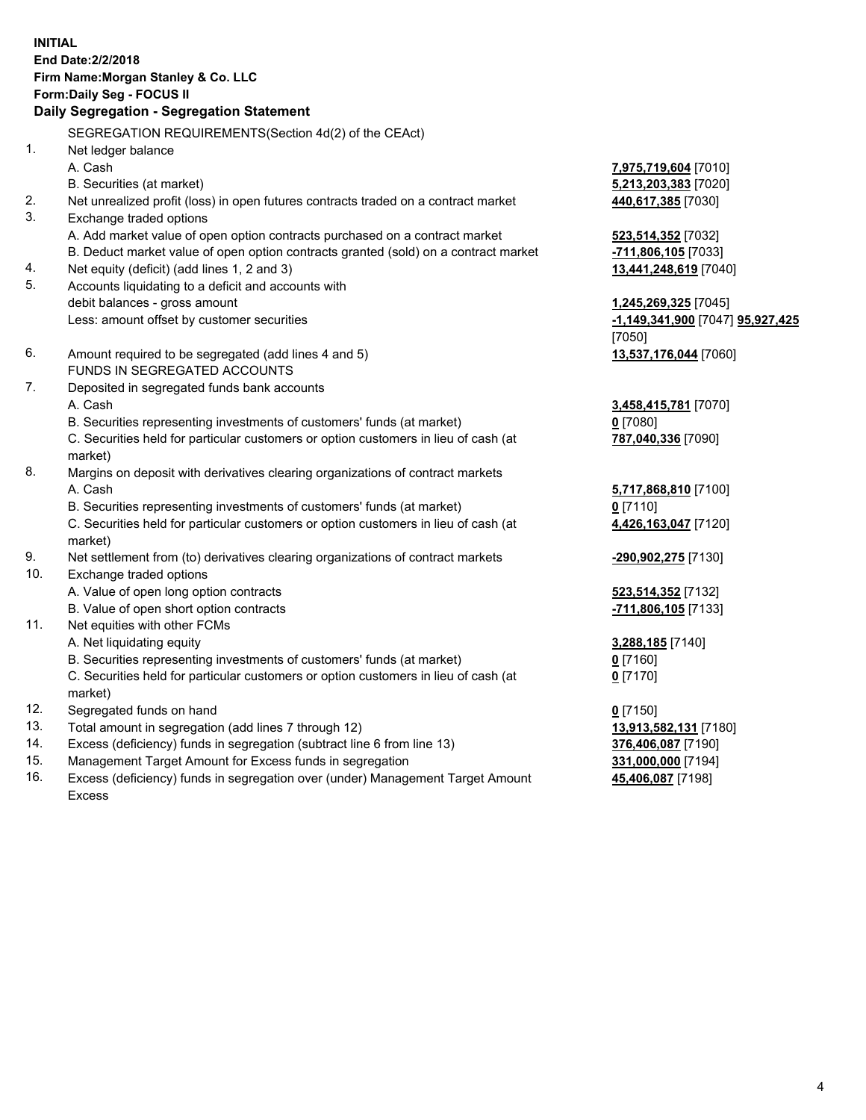# **INITIAL End Date:2/2/2018 Firm Name:Morgan Stanley & Co. LLC Form:Daily Seg - FOCUS II**

# **Daily Segregation - Segregation Statement**

SEGREGATION REQUIREMENTS(Section 4d(2) of the CEAct) 1. Net ledger balance A. Cash **7,975,719,604** [7010] B. Securities (at market) **5,213,203,383** [7020] 2. Net unrealized profit (loss) in open futures contracts traded on a contract market **440,617,385** [7030] 3. Exchange traded options A. Add market value of open option contracts purchased on a contract market **523,514,352** [7032] B. Deduct market value of open option contracts granted (sold) on a contract market **-711,806,105** [7033] 4. Net equity (deficit) (add lines 1, 2 and 3) **13,441,248,619** [7040] 5. Accounts liquidating to a deficit and accounts with debit balances - gross amount **1,245,269,325** [7045] Less: amount offset by customer securities **-1,149,341,900** [7047] **95,927,425** [7050] 6. Amount required to be segregated (add lines 4 and 5) **13,537,176,044** [7060] FUNDS IN SEGREGATED ACCOUNTS 7. Deposited in segregated funds bank accounts A. Cash **3,458,415,781** [7070] B. Securities representing investments of customers' funds (at market) **0** [7080] C. Securities held for particular customers or option customers in lieu of cash (at market) **787,040,336** [7090] 8. Margins on deposit with derivatives clearing organizations of contract markets A. Cash **5,717,868,810** [7100] B. Securities representing investments of customers' funds (at market) **0** [7110] C. Securities held for particular customers or option customers in lieu of cash (at market) **4,426,163,047** [7120] 9. Net settlement from (to) derivatives clearing organizations of contract markets **-290,902,275** [7130] 10. Exchange traded options A. Value of open long option contracts **523,514,352** [7132] B. Value of open short option contracts **-711,806,105** [7133] 11. Net equities with other FCMs A. Net liquidating equity **3,288,185** [7140] B. Securities representing investments of customers' funds (at market) **0** [7160] C. Securities held for particular customers or option customers in lieu of cash (at market) **0** [7170] 12. Segregated funds on hand **0** [7150] 13. Total amount in segregation (add lines 7 through 12) **13,913,582,131** [7180] 14. Excess (deficiency) funds in segregation (subtract line 6 from line 13) **376,406,087** [7190] 15. Management Target Amount for Excess funds in segregation **331,000,000** [7194]

16. Excess (deficiency) funds in segregation over (under) Management Target Amount

Excess

4

**45,406,087** [7198]